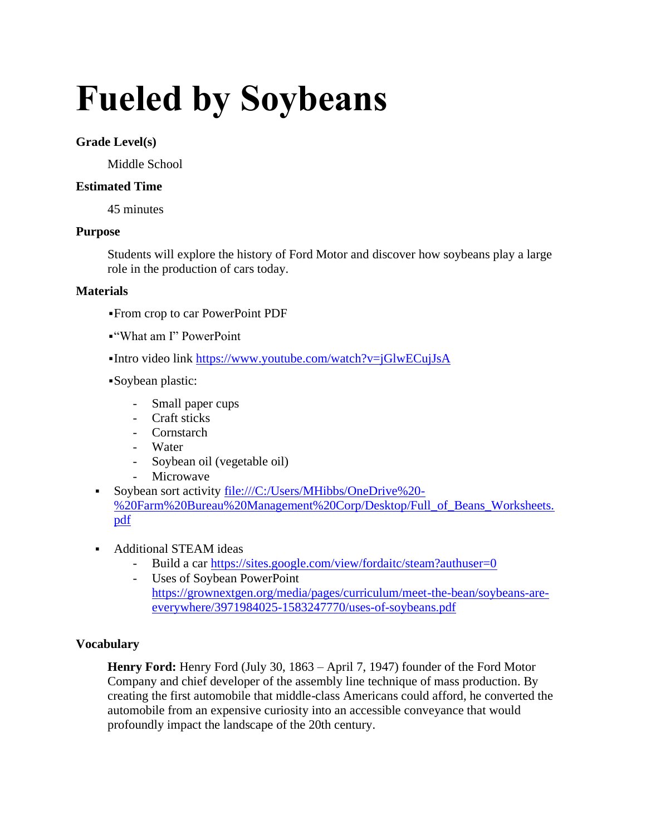# **Fueled by Soybeans**

## **Grade Level(s)**

Middle School

# **Estimated Time**

45 minutes

## **Purpose**

Students will explore the history of Ford Motor and discover how soybeans play a large role in the production of cars today.

## **Materials**

- ▪From crop to car PowerPoint PDF
- ▪"What am I" PowerPoint
- ▪Intro video link<https://www.youtube.com/watch?v=jGlwECujJsA>
- ▪Soybean plastic:
	- Small paper cups
	- Craft sticks
	- Cornstarch
	- Water
	- Soybean oil (vegetable oil)
	- Microwave
- Soybean sort activity [file:///C:/Users/MHibbs/OneDrive%20-](file:///C:/Users/MHibbs/OneDrive%20-%20Farm%20Bureau%20Management%20Corp/Desktop/Full_of_Beans_Worksheets.pdf) [%20Farm%20Bureau%20Management%20Corp/Desktop/Full\\_of\\_Beans\\_Worksheets.](file:///C:/Users/MHibbs/OneDrive%20-%20Farm%20Bureau%20Management%20Corp/Desktop/Full_of_Beans_Worksheets.pdf) [pdf](file:///C:/Users/MHibbs/OneDrive%20-%20Farm%20Bureau%20Management%20Corp/Desktop/Full_of_Beans_Worksheets.pdf)
- Additional STEAM ideas
	- Build a car<https://sites.google.com/view/fordaitc/steam?authuser=0>
	- Uses of Soybean PowerPoint [https://grownextgen.org/media/pages/curriculum/meet-the-bean/soybeans-are](https://grownextgen.org/media/pages/curriculum/meet-the-bean/soybeans-are-everywhere/3971984025-1583247770/uses-of-soybeans.pdf)[everywhere/3971984025-1583247770/uses-of-soybeans.pdf](https://grownextgen.org/media/pages/curriculum/meet-the-bean/soybeans-are-everywhere/3971984025-1583247770/uses-of-soybeans.pdf)

# **Vocabulary**

**Henry Ford:** Henry Ford (July 30, 1863 – April 7, 1947) founder of the [Ford Motor](https://en.wikipedia.org/wiki/Ford_Motor_Company)  [Company](https://en.wikipedia.org/wiki/Ford_Motor_Company) and chief developer of the [assembly line](https://en.wikipedia.org/wiki/Assembly_line) technique of [mass production.](https://en.wikipedia.org/wiki/Mass_production) By creating the first automobile that middle-class Americans could afford, he converted the automobile from an expensive curiosity into an accessible conveyance that would profoundly impact the landscape of the 20th century.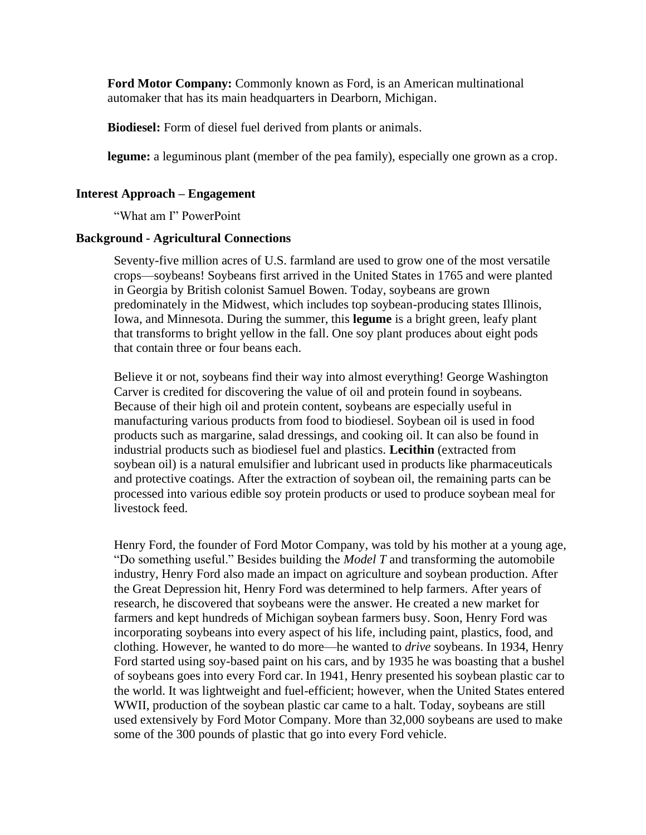**Ford Motor Company:** Commonly known as Ford, is an American multinational automaker that has its main headquarters in Dearborn, Michigan.

**Biodiesel:** Form of diesel fuel derived from plants or animals.

**legume:** a leguminous plant (member of the pea family), especially one grown as a crop.

#### **Interest Approach – Engagement**

"What am I" PowerPoint

#### **Background - Agricultural Connections**

Seventy-five million acres of U.S. farmland are used to grow one of the most versatile crops—soybeans! Soybeans first arrived in the United States in 1765 and were planted in Georgia by British colonist Samuel Bowen. Today, soybeans are grown predominately in the Midwest, which includes top soybean-producing states Illinois, Iowa, and Minnesota. During the summer, this **legume** is a bright green, leafy plant that transforms to bright yellow in the fall. One soy plant produces about eight pods that contain three or four beans each.

Believe it or not, soybeans find their way into almost everything! George Washington Carver is credited for discovering the value of oil and protein found in soybeans. Because of their high oil and protein content, soybeans are especially useful in manufacturing various products from food to biodiesel. Soybean oil is used in food products such as margarine, salad dressings, and cooking oil. It can also be found in industrial products such as biodiesel fuel and plastics. **Lecithin** (extracted from soybean oil) is a natural emulsifier and lubricant used in products like pharmaceuticals and protective coatings. After the extraction of soybean oil, the remaining parts can be processed into various edible soy protein products or used to produce soybean meal for livestock feed.

Henry Ford, the founder of Ford Motor Company, was told by his mother at a young age, "Do something useful." Besides building the *Model T* and transforming the automobile industry, Henry Ford also made an impact on agriculture and soybean production. After the Great Depression hit, Henry Ford was determined to help farmers. After years of research, he discovered that soybeans were the answer. He created a new market for farmers and kept hundreds of Michigan soybean farmers busy. Soon, Henry Ford was incorporating soybeans into every aspect of his life, including paint, plastics, food, and clothing. However, he wanted to do more—he wanted to *drive* soybeans. In 1934, Henry Ford started using soy-based paint on his cars, and by 1935 he was boasting that a bushel of soybeans goes into every Ford car. In 1941, Henry presented his soybean plastic car to the world. It was lightweight and fuel-efficient; however, when the United States entered WWII, production of the soybean plastic car came to a halt. Today, soybeans are still used extensively by Ford Motor Company. More than 32,000 soybeans are used to make some of the 300 pounds of plastic that go into every Ford vehicle.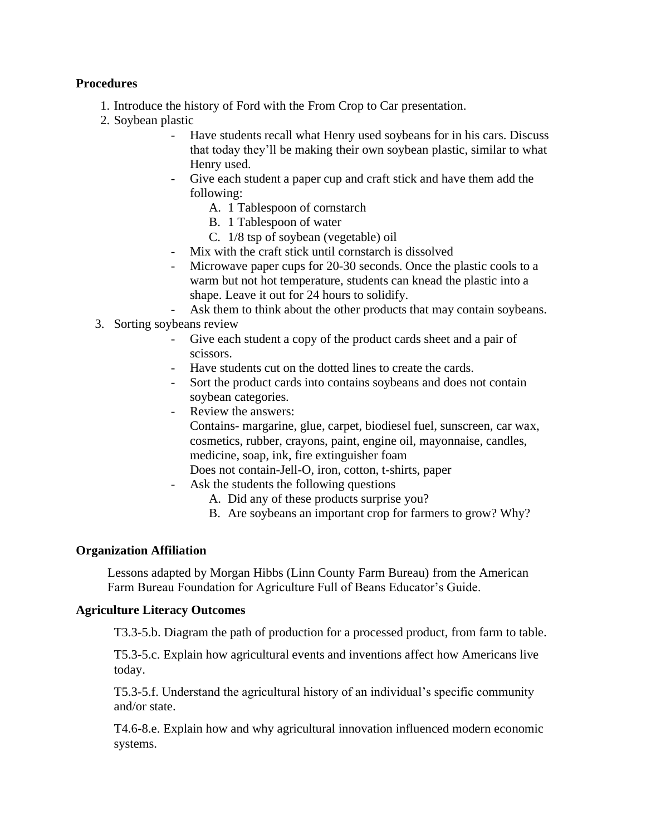### **Procedures**

- 1. Introduce the history of Ford with the From Crop to Car presentation.
- 2. Soybean plastic
	- Have students recall what Henry used soybeans for in his cars. Discuss that today they'll be making their own soybean plastic, similar to what Henry used.
	- Give each student a paper cup and craft stick and have them add the following:
		- A. 1 Tablespoon of cornstarch
		- B. 1 Tablespoon of water
		- C. 1/8 tsp of soybean (vegetable) oil
	- Mix with the craft stick until cornstarch is dissolved
	- Microwave paper cups for 20-30 seconds. Once the plastic cools to a warm but not hot temperature, students can knead the plastic into a shape. Leave it out for 24 hours to solidify.
	- Ask them to think about the other products that may contain soybeans.
- 3. Sorting soybeans review
	- Give each student a copy of the product cards sheet and a pair of scissors.
	- Have students cut on the dotted lines to create the cards.
	- Sort the product cards into contains soybeans and does not contain soybean categories.
	- Review the answers:

Contains- margarine, glue, carpet, biodiesel fuel, sunscreen, car wax, cosmetics, rubber, crayons, paint, engine oil, mayonnaise, candles, medicine, soap, ink, fire extinguisher foam

- Does not contain-Jell-O, iron, cotton, t-shirts, paper
- Ask the students the following questions
	- A. Did any of these products surprise you?
	- B. Are soybeans an important crop for farmers to grow? Why?

#### **Organization Affiliation**

Lessons adapted by Morgan Hibbs (Linn County Farm Bureau) from the American Farm Bureau Foundation for Agriculture Full of Beans Educator's Guide.

#### **Agriculture Literacy Outcomes**

T3.3-5.b. Diagram the path of production for a processed product, from farm to table.

T5.3-5.c. Explain how agricultural events and inventions affect how Americans live today.

T5.3-5.f. Understand the agricultural history of an individual's specific community and/or state.

T4.6-8.e. Explain how and why agricultural innovation influenced modern economic systems.